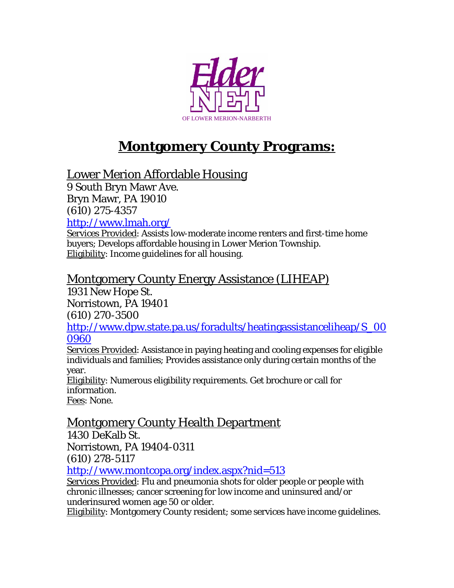

# **Montgomery County Programs:**

Lower Merion Affordable Housing

9 South Bryn Mawr Ave. Bryn Mawr, PA 19010 (610) 275-4357

<http://www.lmah.org/>

Services Provided: Assists low-moderate income renters and first-time home buyers; Develops affordable housing in Lower Merion Township. Eligibility: Income guidelines for all housing.

## Montgomery County Energy Assistance (LIHEAP)

1931 New Hope St. Norristown, PA 19401 (610) 270-3500 [http://www.dpw.state.pa.us/foradults/heatingassistanceliheap/S\\_00](http://www.dpw.state.pa.us/foradults/heatingassistanceliheap/S_000960) [0960](http://www.dpw.state.pa.us/foradults/heatingassistanceliheap/S_000960)

Services Provided: Assistance in paying heating and cooling expenses for eligible individuals and families; Provides assistance only during certain months of the year.

Eligibility: Numerous eligibility requirements. Get brochure or call for information. Fees: None.

### Montgomery County Health Department

1430 DeKalb St. Norristown, PA 19404-0311 (610) 278-5117

<http://www.montcopa.org/index.aspx?nid=513>

Services Provided: Flu and pneumonia shots for older people or people with chronic illnesses; cancer screening for low income and uninsured and/or underinsured women age 50 or older.

Eligibility: Montgomery County resident; some services have income guidelines.